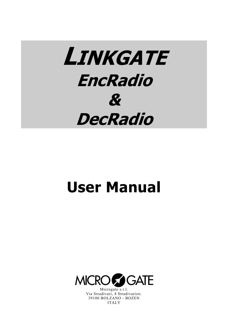

# **User Manual**



Microgate s.r.l. Via Stradivari, 4 Stradivaristr. 39100 BOLZANO - BOZEN ITALY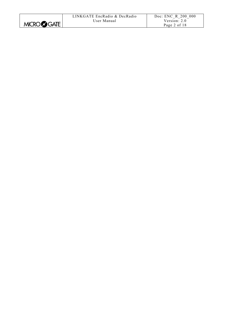|                    | LINKGATE EncRadio & DecRadio | Doc: ENC R 200 000 |
|--------------------|------------------------------|--------------------|
|                    | User Manual                  | Version: 2.0       |
| <b>MICROCOGATE</b> |                              | Page 2 of 18       |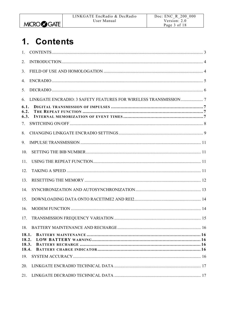<span id="page-2-0"></span>

# 1. Contents

| 1.                               |  |
|----------------------------------|--|
| 2.                               |  |
| $3_{-}$                          |  |
| 4.                               |  |
| 5.                               |  |
| 6.                               |  |
| 6.1.<br>6.2.<br>6.3.             |  |
| 7.                               |  |
| 8.                               |  |
| 9.                               |  |
| 10.                              |  |
| 11.                              |  |
| 12.                              |  |
| 13.                              |  |
| 14.                              |  |
| 15.                              |  |
| 16.                              |  |
| 17.                              |  |
| 18                               |  |
| 18.1.<br>18.2.<br>18.3.<br>18.4. |  |
| 19.                              |  |
| 20.                              |  |
| 21.                              |  |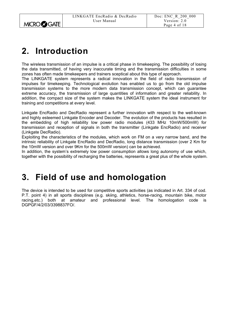<span id="page-3-0"></span>

# **2. Introduction**

The wireless transmission of an impulse is a critical phase in timekeeping. The possibility of losing the data transmitted, of having very inaccurate timing and the transmission difficulties in some zones has often made timekeepers and trainers sceptical about this type of approach.

The LINKGATE system represents a radical innovation in the field of radio transmission of impulses for timekeeping. Technological evolution has enabled us to go from the old impulse transmission systems to the more modern data transmission concept, which can guarantee extreme accuracy, the transmission of large quantities of information and greater reliability. In addition, the compact size of the system makes the LINKGATE system the ideal instrument for training and competitions at every level.

Linkgate EncRadio and DecRadio represent a further innovation with respect to the well-known and highly esteemed Linkgate Encoder and Decoder. The evolution of the products has resulted in the embedding of high reliability low power radio modules (433 MHz 10mW/500mW) for transmission and reception of signals in both the transmitter (Linkgate EncRadio) and receiver (Linkgate DecRadio).

Exploiting the characteristics of the modules, which work on FM on a very narrow band, and the intrinsic reliability of Linkgate EncRadio and DecRadio, long distance transmission (over 2 Km for the 10mW version and over 9Km for the 500mW version) can be achieved.

In addition, the system's extremely low power consumption allows long autonomy of use which, together with the possibility of recharging the batteries, represents a great plus of the whole system.

### **3. Field of use and homologation**

The device is intended to be used for competitive sports activities (as indicated in Art. 334 of cod. P.T. point 4) in all sports disciplines (e.g. skiing, athletics, horse-racing, mountain bike, motor racing,etc.) both at amateur and professional level. The homologation code is DGPGF/4/2/03/3398837FO/.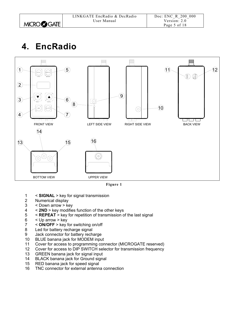<span id="page-4-0"></span>

# **4. EncRadio**



**Figure 1** 

- 1 < **SIGNAL** > key for signal transmission
- 2 Numerical display
- 3 < Down arrow > key
- 4 < **2ND** > key modifies function of the other keys
- 5 < **REPEAT** > key for repetition of transmission of the last signal
- 6 < Up arrow > key
- 7 < **ON/OFF** > key for switching on/off
- 8 Led for battery recharge signal
- 9 Jack connector for battery recharge
- 10 BLUE banana jack for MODEM input
- 11 Cover for access to programming connector (MICROGATE reserved)
- 12 Cover for access to DIP SWITCH selector for transmission frequency
- 13 GREEN banana jack for signal input
- 14 BLACK banana jack for Ground signal
- 15 RED banana jack for speed signal
- 16 TNC connector for external antenna connection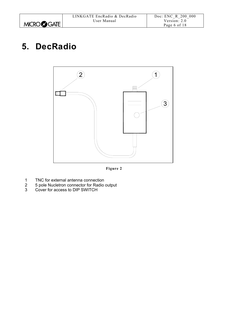<span id="page-5-0"></span>

|                      | LINKGATE EncRadio & DecRadio | Doc: ENC R 200 000 |
|----------------------|------------------------------|--------------------|
|                      | User Manual                  | Version: $2.0$     |
| MICRO <b>CO</b> GATE |                              | Page 6 of 18       |

# **5. DecRadio**



**Figure 2** 

- 1 TNC for external antenna connection<br>2 5 pole Nucletron connector for Radio
- 2 5 pole Nucletron connector for Radio output
- 3 Cover for access to DIP SWITCH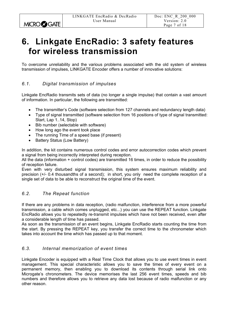### <span id="page-6-0"></span>**6. Linkgate EncRadio: 3 safety features for wireless transmission**

To overcome unreliability and the various problems associated with the old system of wireless transmission of impulses, LINKGATE Encoder offers a number of innovative solutions:

#### *6.1. Digital transmission of impulses*

Linkgate EncRadio transmits sets of data (no longer a single impulse) that contain a vast amount of information. In particular, the following are transmitted:

- The transmitter's Code (software selection from 127 channels and redundancy length data)
- Type of signal transmitted (software selection from 16 positions of type of signal transmitted: Start, Lap 1..14, Stop)
- Bib number (selectable with software)
- How long ago the event took place
- The running Time of a speed base (if present)
- Battery Status (Low Battery)

In addition, the kit contains numerous control codes and error autocorrection codes which prevent a signal from being incorrectly interpreted during reception.

All the data (information + control codes) are transmitted 16 times, in order to reduce the possibility of reception failure.

Even with very disturbed signal transmission, this system ensures maximum reliability and precision (+/- 0.4 thousandths of a second); in short, you only need the complete reception of a single set of data to be able to reconstruct the original time of the event.

#### *6.2. The Repeat function*

If there are any problems in data reception, (radio malfunction, interference from a more powerful transmission, a cable which comes unplugged, etc...) you can use the REPEAT function. Linkgate EncRadio allows you to repeatedly re-transmit impulses which have not been received, even after a considerable length of time has passed.

As soon as the transmission of an event begins, Linkgate EncRadio starts counting the time from the start. By pressing the REPEAT key, you transfer the correct time to the chronometer which takes into account the time which has passed up to that moment.

#### *6.3. Internal memorization of event times*

Linkgate Encoder is equipped with a Real Time Clock that allows you to use event times in event management. This special characteristic allows you to save the times of every event on a permanent memory, then enabling you to download its contents through serial link onto Microgate's chronometers. The device memorises the last 256 event times, speeds and bib numbers and therefore allows you to retrieve any data lost because of radio malfunction or any other reason.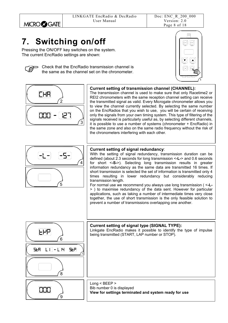<span id="page-7-0"></span>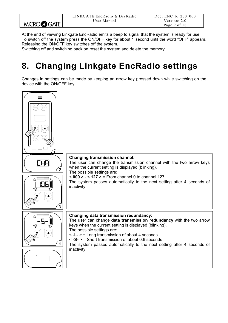<span id="page-8-0"></span>

|                      | LINKGATE EncRadio & DecRadio | Doc: ENC R 200 000 |
|----------------------|------------------------------|--------------------|
|                      | User Manual                  | Version: 2.0       |
| MICRO <b>CO</b> GATE |                              | Page 9 of 18       |

At the end of viewing Linkgate EncRadio emits a beep to signal that the system is ready for use. To switch off the system press the ON/OFF key for about 1 second until the word "OFF" appears. Releasing the ON/OFF key switches off the system.

Switching off and switching back on reset the system and delete the memory.

# **8. Changing Linkgate EncRadio settings**

Changes in settings can be made by keeping an arrow key pressed down while switching on the device with the ON/OFF key.

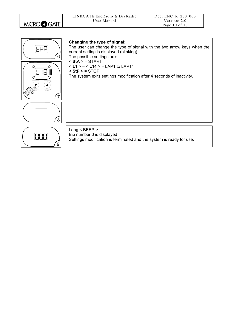|                      | LINKGATE EncRadio & DecRadio | Doc: ENC R 200 000 |
|----------------------|------------------------------|--------------------|
|                      | User Manual                  | Version: $2.0$     |
| MICRO <b>CO</b> GATE |                              | Page $10$ of $18$  |

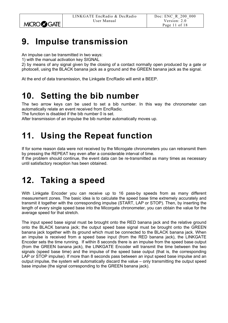# <span id="page-10-0"></span>**9. Impulse transmission**

An impulse can be transmitted in two ways:

1) with the manual activation key SIGNAL

2) by means of any signal given by the closing of a contact normally open produced by a gate or photocell, using the BLACK banana jack as a ground and the GREEN banana jack as the signal.

At the end of data transmission, the Linkgate EncRadio will emit a BEEP.

# **10. Setting the bib number**

The two arrow keys can be used to set a bib number. In this way the chronometer can automatically relate an event received from EncRadio.

The function is disabled if the bib number 0 is set.

After transmission of an impulse the bib number automatically moves up.

# **11. Using the Repeat function**

If for some reason data were not received by the Microgate chronometers you can retransmit them by pressing the REPEAT key even after a considerable interval of time.

If the problem should continue, the event data can be re-transmitted as many times as necessary until satisfactory reception has been obtained.

# **12. Taking a speed**

With Linkgate Encoder you can receive up to 16 pass-by speeds from as many different measurement zones. The basic idea is to calculate the speed base time extremely accurately and transmit it together with the corresponding impulse (START, LAP or STOP). Then, by inserting the length of every single speed base into the Micorgate chronometer, you can obtain the value for the average speed for that stretch.

The input speed base signal must be brought onto the RED banana jack and the relative ground onto the BLACK banana jack; the output speed base signal must be brought onto the GREEN banana jack together with its ground which must be connected to the BLACK banana jack. When an impulse is received from a speed base input (from the RED banana jack), the LINKGATE Encoder sets the time running. If within 8 seconds there is an impulse from the speed base output (from the GREEN banana jack), the LINKGATE Encoder will transmit the time between the two signals (speed base time) and the impulse of the speed base output (that is, the corresponding LAP or STOP impulse). If more than 8 seconds pass between an input speed base impulse and an output impulse, the system will automatically discard the value – only transmitting the output speed base impulse (the signal corresponding to the GREEN banana jack).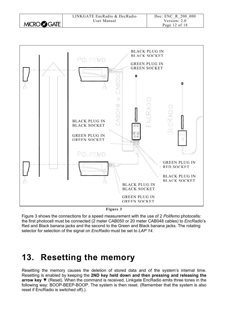<span id="page-11-0"></span>

|                      | LINKGATE EncRadio & DecRadio | Doc: ENC R 200 000 |
|----------------------|------------------------------|--------------------|
|                      | User Manual                  | Version: $2.0$     |
| MICRO <b>CO</b> GATE |                              | Page 12 of 18      |



**Figure 3**

Figure 3 shows the connections for a speed measurement with the use of 2 *Polifemo* photocells*:* the first photocell must be connected (2 meter CAB050 or 20 meter CAB048 cables) to *EncRadio*'s Red and Black banana jacks and the second to the Green and Black banana jacks. The rotating selector for selection of the signal on *EncRadio* must be set to *LAP 14*.

### **13. Resetting the memory**

Resetting the memory causes the deletion of stored data and of the system's internal time. Resetting is enabled by keeping the **2ND key held down and then pressing and releasing the arrow key ▼** (Reset). When the command is received, Linkgate EncRadio emits three tones in the following way: BOOP-BEEP-BOOP. The system is then reset. (Remember that the system is also reset if EncRadio is switched off).).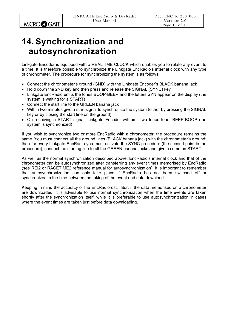### <span id="page-12-0"></span>**14. Synchronization and autosynchronization**

Linkgate Encoder is equipped with a REALTIME CLOCK which enables you to relate any event to a time. It is therefore possible to synchronize the Linkgate EncRadio's internal clock with any type of chronometer. The procedure for synchronizing the system is as follows:

- Connect the chronometer's ground (GND) with the Linkgate Encoder's BLACK banana jack
- Hold down the 2ND key and then press and release the SIGNAL (SYNC) key
- Linkgate EncRadio emits the tones BOOP-BEEP and the letters SYN appear on the display (the system is waiting for a START)
- Connect the start line to the GREEN banana jack
- Within two minutes give a start signal to synchronize the system (either by pressing the SIGNAL key or by closing the start line on the ground)
- On receiving a START signal, Linkgate Encoder will emit two tones tone: BEEP-BOOP (the system is synchronized)

If you wish to synchronize two or more EncRadio with a chronometer, the procedure remains the same. You must connect all the ground lines (BLACK banana jack) with the chronometer's ground; then for every Linkgate EncRadio you must activate the SYNC procedure (the second point in the procedure), connect the starting line to all the GREEN banana jacks and give a common START.

As well as the normal synchronization described above, EncRadio's internal clock and that of the chronometer can be autosynchronized after transferring any event times memorised by EncRadio (see REI2 or RACETIME2 reference manual for autosynchronization). It is important to remember that autosynchronization can only take place if EncRadio has not been switched off or synchronized in the time between the taking of the event and data download.

Keeping in mind the accuracy of the EncRadio oscillator, if the data memorised on a chronometer are downloaded, it is advisable to use normal synchronization when the time events are taken shortly after the synchronization itself, while it is preferable to use autosynchronization in cases where the event times are taken just before data downloading.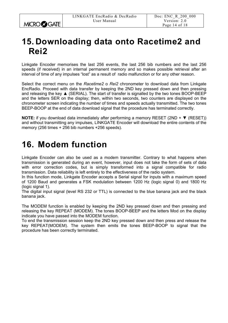### <span id="page-13-0"></span>**15. Downloading data onto Racetime2 and Rei2**

Linkgate Encoder memorises the last 256 events, the last 256 bib numbers and the last 256 speeds (if received) in an internal permanent memory and so makes possible retrieval after an interval of time of any impulses "lost" as a result of radio malfunction or for any other reason.

Select the correct menu on the *Racetime2* o *Rei2* chronometer to download data from Linkgate EncRadio. Proceed with data transfer by keeping the 2ND key pressed down and then pressing and releasing the key  $\triangle$  (SERIAL). The start of transfer is signalled by the two tones BOOP-BEEP and the letters SER on the display; then, within two seconds, two counters are displayed on the chronometer screen indicating the number of times and speeds actually transmitted. The two tones BEEP-BOOP at the end of data download signal that the procedure has terminated correctly.

**NOTE:** if you download data immediately after performing a memory RESET (2ND + ▼ (RESET)) and without transmitting any impulses, LINKGATE Encoder will download the entire contents of the memory (256 times + 256 bib numbers +256 speeds).

# **16. Modem function**

Linkgate Encoder can also be used as a modem transmitter. Contrary to what happens when transmission is generated during an event, however, input does not take the form of sets of data with error correction codes, but is simply transformed into a signal compatible for radio transmission. Data reliability is left entirely to the effectiveness of the radio system.

In this function mode, Linkgate Encoder accepts a Serial signal for inputs with a maximum speed of 1200 Baud and generates a FSK modulation between 1200 Hz (logic signal 0) and 1800 Hz (logic signal 1).

The digital input signal (level RS 232 or TTL) is connected to the blue banana jack and the black banana jack.

The MODEM function is enabled by keeping the 2ND key pressed down and then pressing and releasing the key REPEAT (MODEM). The tones BOOP-BEEP and the letters Mod on the display indicate you have passed into the MODEM function.

To end the transmission session keep the 2ND key pressed down and then press and release the key REPEAT(MODEM). The system then emits the tones BEEP-BOOP to signal that the procedure has been correctly terminated.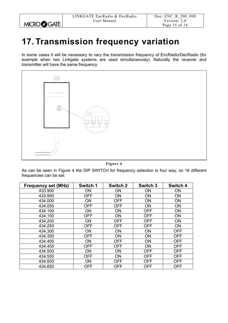# <span id="page-14-0"></span>**17. Transmission frequency variation**

In some cases it will be necessary to vary the transmission frequency of EncRadio/DecRadio (for example when two Linkgate systems are used simultaneously). Naturally the receiver and transmitter will have the same frequency.



#### **Figure 4**

As can be seen in Figure 4 the DIP SWITCH for frequency selection is four way, so 16 different frequencies can be set:

| <b>Frequency set (MHz)</b> | Switch 1   | Switch 2   | Switch 3   | Switch 4   |
|----------------------------|------------|------------|------------|------------|
| 433.900                    | <b>ON</b>  | ON         | ON         | <b>ON</b>  |
| 433.950                    | <b>OFF</b> | ON         | ON         | <b>ON</b>  |
| 434.000                    | <b>ON</b>  | <b>OFF</b> | ON         | ON         |
| 434.050                    | <b>OFF</b> | OFF        | <b>ON</b>  | ON         |
| 434.100                    | <b>ON</b>  | ON         | <b>OFF</b> | <b>ON</b>  |
| 434.150                    | <b>OFF</b> | ON         | <b>OFF</b> | ON         |
| 434.200                    | ON         | <b>OFF</b> | <b>OFF</b> | ON         |
| 434.250                    | <b>OFF</b> | <b>OFF</b> | <b>OFF</b> | <b>ON</b>  |
| 434.300                    | <b>ON</b>  | ON         | <b>ON</b>  | <b>OFF</b> |
| 434.350                    | <b>OFF</b> | ON         | ON         | <b>OFF</b> |
| 434.400                    | ON         | <b>OFF</b> | ON         | <b>OFF</b> |
| 434.450                    | <b>OFF</b> | <b>OFF</b> | ON         | <b>OFF</b> |
| 434.500                    | <b>ON</b>  | ON         | <b>OFF</b> | <b>OFF</b> |
| 434.550                    | <b>OFF</b> | ON         | <b>OFF</b> | <b>OFF</b> |
| 434.600                    | <b>ON</b>  | OFF        | <b>OFF</b> | <b>OFF</b> |
| 434.650                    | <b>OFF</b> | <b>OFF</b> | <b>OFF</b> | <b>OFF</b> |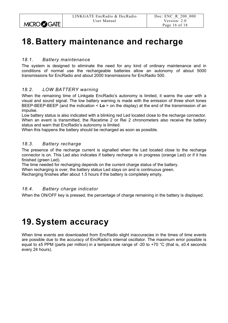### <span id="page-15-0"></span>**18. Battery maintenance and recharge**

#### *18.1. Battery maintenance*

The system is designed to eliminate the need for any kind of ordinary maintenance and in conditions of normal use the rechargeable batteries allow an autonomy of about 5000 transmissions for EncRadio and about 2000 transmissions for EncRadio 500.

#### *18.2. LOW BATTERY warning*

When the remaining time of Linkgate EncRadio's autonomy is limited, it warns the user with a visual and sound signal. The low battery warning is made with the emission of three short tones BEEP-BEEP-BEEP (and the indication < **Lo** > on the display) at the end of the transmission of an impulse.

Low battery status is also indicated with a blinking red Led located close to the recharge connector. When an event is transmitted, the Racetime 2 or Rei 2 chronometers also receive the battery status and warn that EncRadio's autonomy is limited.

When this happens the battery should be recharged as soon as possible.

#### *18.3. Battery recharge*

The presence of the recharge current is signalled when the Led located close to the recharge connector is on. This Led also indicates if battery recharge is in progress (orange Led) or if it has finished (green Led).

The time needed for recharging depends on the current charge status of the battery. When recharging is over, the battery status Led stays on and is continuous green. Recharging finishes after about 1.5 hours if the battery is completely empty.

#### *18.4. Battery charge indicator*

When the ON/OFF key is pressed, the percentage of charge remaining in the battery is displayed.

### **19. System accuracy**

When time events are downloaded from EncRadio slight inaccuracies in the times of time events are possible due to the accuracy of EncRadio's internal oscillator. The maximum error possible is equal to  $\pm$ 5 PPM (parts per million) in a temperature range of -20 to +70 °C (that is,  $\pm$ 0.4 seconds every 24 hours).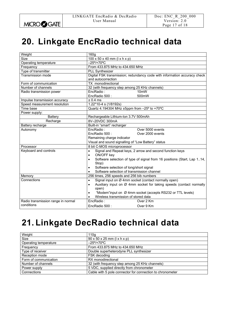## <span id="page-16-0"></span>**20. Linkgate EncRadio technical data**

| Weight                             | $\overline{16}$ Og                                                                   |  |
|------------------------------------|--------------------------------------------------------------------------------------|--|
| <b>Size</b>                        | $\frac{100 \times 50}{20 \times 40}$ mm (l x h x p)                                  |  |
| Operating temperature              | $-25^{\circ}/+70^{\circ}$ C                                                          |  |
| Frequency                          | From 433.875 MHz to 434.650 MHz                                                      |  |
| Type of transmitter                | <b>PLL Synthesizer</b>                                                               |  |
| Transmission mode                  | Digital FSK transmission; redundancy code with information accuracy check            |  |
|                                    | and autocorrection                                                                   |  |
| Form of communication              | TX monodirectional                                                                   |  |
| Number of channels                 | 32 (with frequency step among 25 KHz channels)                                       |  |
| Radio transmission power           | EncRadio:<br>10 <sub>m</sub> W                                                       |  |
|                                    | EncRadio 500:<br>500mW                                                               |  |
| Impulse transmission accuracy      | $± 0.4$ ms                                                                           |  |
| Speed measurement resolution       | 1.22*10-4 s (1/8192s)                                                                |  |
| Time base                          | Quartz 4.194304 MHz ±5ppm from -25° to +70°C                                         |  |
| Power supply:                      |                                                                                      |  |
| <b>Battery</b>                     | Rechargeable Lithium-Ion 3.7V 500mAh                                                 |  |
| Recharge                           | 8V÷20VDC 300mA                                                                       |  |
| Battery recharge                   | Built-in "smart" recharger                                                           |  |
| Autonomy                           | EncRadio:<br>Over 5000 events                                                        |  |
|                                    | EncRadio 500:<br>Over 2000 events                                                    |  |
|                                    | Remaining charge indicator                                                           |  |
|                                    | Visual and sound signalling of "Low Battery" status                                  |  |
| Processor                          | 8 bit C-MOS microprocessor                                                           |  |
| Keyboard and controls              | Signal and Repeat keys, 2 arrow and second function keys<br>$\bullet$                |  |
|                                    | ON/OFF key<br>$\bullet$                                                              |  |
|                                    | Software selection of type of signal from 16 positions (Start, Lap 114,<br>$\bullet$ |  |
|                                    | Stop)                                                                                |  |
|                                    | Software selection of long/short signal<br>$\bullet$                                 |  |
|                                    | Software selection of transmission channel                                           |  |
| Memory                             | 256 times, 256 speeds and 256 bib numbers                                            |  |
| Connections                        | Signal input on Ø 4mm socket (contact normally open)<br>$\bullet$                    |  |
|                                    | Auxiliary input on Ø 4mm socket for taking speeds (contact normally<br>$\bullet$     |  |
|                                    | open)                                                                                |  |
|                                    | "Modem"input on Ø 4mm socket (accepts RS232 or TTL levels)<br>$\bullet$              |  |
|                                    | Wireless transmission of stored data                                                 |  |
| Radio transmission range in normal | EncRadio:<br>Over 2 Km                                                               |  |
| conditions                         | EncRadio 500:<br>Over 9 Km                                                           |  |

### **21. Linkgate DecRadio technical data**

| Weight                | 110q                                                                     |
|-----------------------|--------------------------------------------------------------------------|
| <b>Size</b>           | $90 \times 50 \times 25$ mm ( $\vert x \vert$ $\times$ $\vert x \vert$ ) |
| Operating temperature | $-25^{\circ}/+70^{\circ}$ C                                              |
| Frequency             | From 433.875 MHz to 434.650 MHz                                          |
| Type of receiver      | Double superheterodyne PLL synthesizer                                   |
| Reception mode        | FSK decoding                                                             |
| Form of communication | RX monodirectional                                                       |
| Number of channels    | 32 (with frequency step among 25 KHz channels)                           |
| Power supply          | 5 VDC, supplied directly from chronometer                                |
| Connections           | Cable with 5 pole connector for connection to chronometer                |